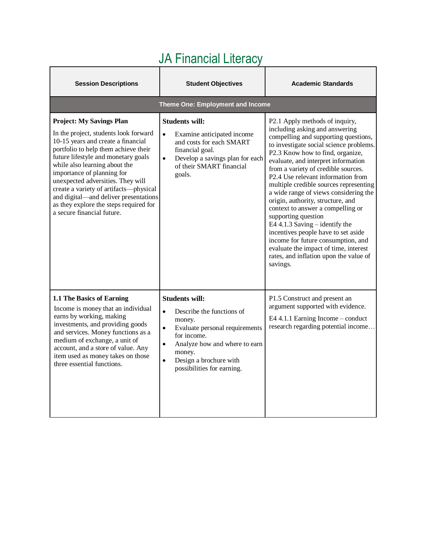| <b>Session Descriptions</b>                                                                                                                                                                                                                                                                                                                                                                                                                                  | <b>Student Objectives</b>                                                                                                                                                                                                                                            | <b>Academic Standards</b>                                                                                                                                                                                                                                                                                                                                                                                                                                                                                                                                                                                                                                                                                       |
|--------------------------------------------------------------------------------------------------------------------------------------------------------------------------------------------------------------------------------------------------------------------------------------------------------------------------------------------------------------------------------------------------------------------------------------------------------------|----------------------------------------------------------------------------------------------------------------------------------------------------------------------------------------------------------------------------------------------------------------------|-----------------------------------------------------------------------------------------------------------------------------------------------------------------------------------------------------------------------------------------------------------------------------------------------------------------------------------------------------------------------------------------------------------------------------------------------------------------------------------------------------------------------------------------------------------------------------------------------------------------------------------------------------------------------------------------------------------------|
|                                                                                                                                                                                                                                                                                                                                                                                                                                                              | Theme One: Employment and Income                                                                                                                                                                                                                                     |                                                                                                                                                                                                                                                                                                                                                                                                                                                                                                                                                                                                                                                                                                                 |
| <b>Project: My Savings Plan</b><br>In the project, students look forward<br>10-15 years and create a financial<br>portfolio to help them achieve their<br>future lifestyle and monetary goals<br>while also learning about the<br>importance of planning for<br>unexpected adversities. They will<br>create a variety of artifacts-physical<br>and digital-and deliver presentations<br>as they explore the steps required for<br>a secure financial future. | <b>Students will:</b><br>Examine anticipated income<br>$\bullet$<br>and costs for each SMART<br>financial goal.<br>$\bullet$<br>Develop a savings plan for each<br>of their SMART financial<br>goals.                                                                | P2.1 Apply methods of inquiry,<br>including asking and answering<br>compelling and supporting questions,<br>to investigate social science problems.<br>P2.3 Know how to find, organize,<br>evaluate, and interpret information<br>from a variety of credible sources.<br>P2.4 Use relevant information from<br>multiple credible sources representing<br>a wide range of views considering the<br>origin, authority, structure, and<br>context to answer a compelling or<br>supporting question<br>E4 4.1.3 Saving $-$ identify the<br>incentives people have to set aside<br>income for future consumption, and<br>evaluate the impact of time, interest<br>rates, and inflation upon the value of<br>savings. |
| 1.1 The Basics of Earning<br>Income is money that an individual<br>earns by working, making<br>investments, and providing goods<br>and services. Money functions as a<br>medium of exchange, a unit of<br>account, and a store of value. Any<br>item used as money takes on those<br>three essential functions.                                                                                                                                              | <b>Students will:</b><br>Describe the functions of<br>$\bullet$<br>money.<br>$\bullet$<br>Evaluate personal requirements<br>for income.<br>Analyze how and where to earn<br>$\bullet$<br>money.<br>Design a brochure with<br>$\bullet$<br>possibilities for earning. | P1.5 Construct and present an<br>argument supported with evidence.<br>E4 4.1.1 Earning Income – conduct<br>research regarding potential income                                                                                                                                                                                                                                                                                                                                                                                                                                                                                                                                                                  |

## JA Financial Literacy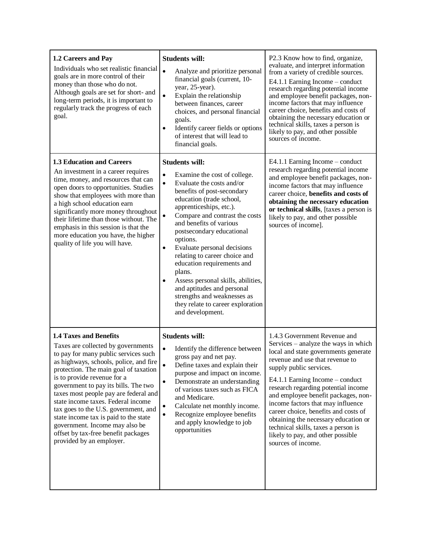| 1.2 Careers and Pay<br>Individuals who set realistic financial<br>goals are in more control of their<br>money than those who do not.<br>Although goals are set for short- and<br>long-term periods, it is important to<br>regularly track the progress of each<br>goal.                                                                                                                                                                                                                                                                    | <b>Students will:</b><br>$\bullet$<br>Analyze and prioritize personal<br>financial goals (current, 10-<br>year, 25-year).<br>$\bullet$<br>Explain the relationship<br>between finances, career<br>choices, and personal financial<br>goals.<br>Identify career fields or options<br>of interest that will lead to<br>financial goals.                                                                                                                                                                                                                                                                 | P2.3 Know how to find, organize,<br>evaluate, and interpret information<br>from a variety of credible sources.<br>E4.1.1 Earning Income $-$ conduct<br>research regarding potential income<br>and employee benefit packages, non-<br>income factors that may influence<br>career choice, benefits and costs of<br>obtaining the necessary education or<br>technical skills, taxes a person is<br>likely to pay, and other possible<br>sources of income.                                                           |
|--------------------------------------------------------------------------------------------------------------------------------------------------------------------------------------------------------------------------------------------------------------------------------------------------------------------------------------------------------------------------------------------------------------------------------------------------------------------------------------------------------------------------------------------|-------------------------------------------------------------------------------------------------------------------------------------------------------------------------------------------------------------------------------------------------------------------------------------------------------------------------------------------------------------------------------------------------------------------------------------------------------------------------------------------------------------------------------------------------------------------------------------------------------|--------------------------------------------------------------------------------------------------------------------------------------------------------------------------------------------------------------------------------------------------------------------------------------------------------------------------------------------------------------------------------------------------------------------------------------------------------------------------------------------------------------------|
| 1.3 Education and Careers<br>An investment in a career requires<br>time, money, and resources that can<br>open doors to opportunities. Studies<br>show that employees with more than<br>a high school education earn<br>significantly more money throughout<br>their lifetime than those without. The<br>emphasis in this session is that the<br>more education you have, the higher<br>quality of life you will have.                                                                                                                     | <b>Students will:</b><br>$\bullet$<br>Examine the cost of college.<br>$\bullet$<br>Evaluate the costs and/or<br>benefits of post-secondary<br>education (trade school,<br>apprenticeships, etc.).<br>$\bullet$<br>Compare and contrast the costs<br>and benefits of various<br>postsecondary educational<br>options.<br>Evaluate personal decisions<br>$\bullet$<br>relating to career choice and<br>education requirements and<br>plans.<br>Assess personal skills, abilities,<br>and aptitudes and personal<br>strengths and weaknesses as<br>they relate to career exploration<br>and development. | E4.1.1 Earning Income – conduct<br>research regarding potential income<br>and employee benefit packages, non-<br>income factors that may influence<br>career choice, benefits and costs of<br>obtaining the necessary education<br>or technical skills, [taxes a person is<br>likely to pay, and other possible<br>sources of income].                                                                                                                                                                             |
| <b>1.4 Taxes and Benefits</b><br>Taxes are collected by governments<br>to pay for many public services such<br>as highways, schools, police, and fire<br>protection. The main goal of taxation<br>is to provide revenue for a<br>government to pay its bills. The two<br>taxes most people pay are federal and<br>state income taxes. Federal income<br>tax goes to the U.S. government, and<br>state income tax is paid to the state<br>government. Income may also be<br>offset by tax-free benefit packages<br>provided by an employer. | <b>Students will:</b><br>$\bullet$<br>Identify the difference between<br>gross pay and net pay.<br>$\bullet$<br>Define taxes and explain their<br>purpose and impact on income.<br>Demonstrate an understanding<br>$\bullet$<br>of various taxes such as FICA<br>and Medicare.<br>Calculate net monthly income.<br>$\bullet$<br>Recognize employee benefits<br>$\bullet$<br>and apply knowledge to job<br>opportunities                                                                                                                                                                               | 1.4.3 Government Revenue and<br>Services - analyze the ways in which<br>local and state governments generate<br>revenue and use that revenue to<br>supply public services.<br>E4.1.1 Earning Income – conduct<br>research regarding potential income<br>and employee benefit packages, non-<br>income factors that may influence<br>career choice, benefits and costs of<br>obtaining the necessary education or<br>technical skills, taxes a person is<br>likely to pay, and other possible<br>sources of income. |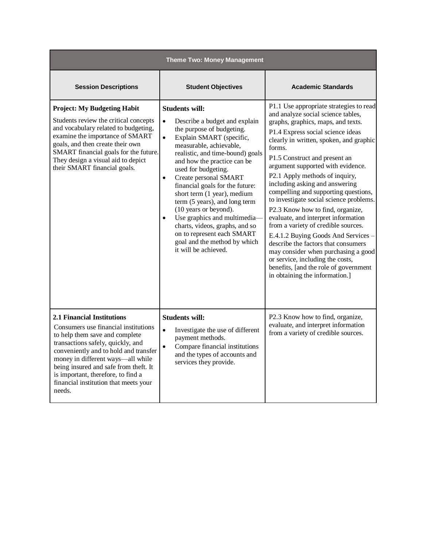| <b>Theme Two: Money Management</b>                                                                                                                                                                                                                                                                                                                               |                                                                                                                                                                                                                                                                                                                                                                                                                                                                                                                                                                                                       |                                                                                                                                                                                                                                                                                                                                                                                                                                                                                                                                                                                                                                                                                                                                                                                                  |
|------------------------------------------------------------------------------------------------------------------------------------------------------------------------------------------------------------------------------------------------------------------------------------------------------------------------------------------------------------------|-------------------------------------------------------------------------------------------------------------------------------------------------------------------------------------------------------------------------------------------------------------------------------------------------------------------------------------------------------------------------------------------------------------------------------------------------------------------------------------------------------------------------------------------------------------------------------------------------------|--------------------------------------------------------------------------------------------------------------------------------------------------------------------------------------------------------------------------------------------------------------------------------------------------------------------------------------------------------------------------------------------------------------------------------------------------------------------------------------------------------------------------------------------------------------------------------------------------------------------------------------------------------------------------------------------------------------------------------------------------------------------------------------------------|
| <b>Session Descriptions</b>                                                                                                                                                                                                                                                                                                                                      | <b>Student Objectives</b>                                                                                                                                                                                                                                                                                                                                                                                                                                                                                                                                                                             | <b>Academic Standards</b>                                                                                                                                                                                                                                                                                                                                                                                                                                                                                                                                                                                                                                                                                                                                                                        |
| <b>Project: My Budgeting Habit</b><br>Students review the critical concepts<br>and vocabulary related to budgeting,<br>examine the importance of SMART<br>goals, and then create their own<br>SMART financial goals for the future.<br>They design a visual aid to depict<br>their SMART financial goals.                                                        | <b>Students will:</b><br>Describe a budget and explain<br>$\bullet$<br>the purpose of budgeting.<br>$\bullet$<br>Explain SMART (specific,<br>measurable, achievable,<br>realistic, and time-bound) goals<br>and how the practice can be<br>used for budgeting.<br>Create personal SMART<br>$\bullet$<br>financial goals for the future:<br>short term (1 year), medium<br>term (5 years), and long term<br>(10 years or beyond).<br>Use graphics and multimedia-<br>$\bullet$<br>charts, videos, graphs, and so<br>on to represent each SMART<br>goal and the method by which<br>it will be achieved. | P1.1 Use appropriate strategies to read<br>and analyze social science tables,<br>graphs, graphics, maps, and texts.<br>P1.4 Express social science ideas<br>clearly in written, spoken, and graphic<br>forms.<br>P1.5 Construct and present an<br>argument supported with evidence.<br>P2.1 Apply methods of inquiry,<br>including asking and answering<br>compelling and supporting questions,<br>to investigate social science problems.<br>P2.3 Know how to find, organize,<br>evaluate, and interpret information<br>from a variety of credible sources.<br>E.4.1.2 Buying Goods And Services -<br>describe the factors that consumers<br>may consider when purchasing a good<br>or service, including the costs,<br>benefits, [and the role of government<br>in obtaining the information.] |
| <b>2.1 Financial Institutions</b><br>Consumers use financial institutions<br>to help them save and complete<br>transactions safely, quickly, and<br>conveniently and to hold and transfer<br>money in different ways-all while<br>being insured and safe from theft. It<br>is important, therefore, to find a<br>financial institution that meets your<br>needs. | <b>Students will:</b><br>$\bullet$<br>Investigate the use of different<br>payment methods.<br>Compare financial institutions<br>$\bullet$<br>and the types of accounts and<br>services they provide.                                                                                                                                                                                                                                                                                                                                                                                                  | P2.3 Know how to find, organize,<br>evaluate, and interpret information<br>from a variety of credible sources.                                                                                                                                                                                                                                                                                                                                                                                                                                                                                                                                                                                                                                                                                   |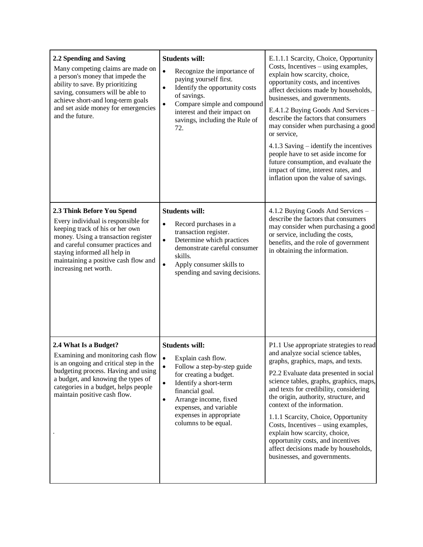| 2.2 Spending and Saving<br>Many competing claims are made on<br>a person's money that impede the<br>ability to save. By prioritizing<br>saving, consumers will be able to<br>achieve short-and long-term goals<br>and set aside money for emergencies<br>and the future.           | <b>Students will:</b><br>$\bullet$<br>Recognize the importance of<br>paying yourself first.<br>Identify the opportunity costs<br>$\bullet$<br>of savings.<br>Compare simple and compound<br>$\bullet$<br>interest and their impact on<br>savings, including the Rule of<br>72.                             | E.1.1.1 Scarcity, Choice, Opportunity<br>Costs, Incentives – using examples,<br>explain how scarcity, choice,<br>opportunity costs, and incentives<br>affect decisions made by households,<br>businesses, and governments.<br>E.4.1.2 Buying Goods And Services -<br>describe the factors that consumers<br>may consider when purchasing a good<br>or service,<br>4.1.3 Saving – identify the incentives<br>people have to set aside income for<br>future consumption, and evaluate the<br>impact of time, interest rates, and<br>inflation upon the value of savings. |
|------------------------------------------------------------------------------------------------------------------------------------------------------------------------------------------------------------------------------------------------------------------------------------|------------------------------------------------------------------------------------------------------------------------------------------------------------------------------------------------------------------------------------------------------------------------------------------------------------|------------------------------------------------------------------------------------------------------------------------------------------------------------------------------------------------------------------------------------------------------------------------------------------------------------------------------------------------------------------------------------------------------------------------------------------------------------------------------------------------------------------------------------------------------------------------|
| 2.3 Think Before You Spend<br>Every individual is responsible for<br>keeping track of his or her own<br>money. Using a transaction register<br>and careful consumer practices and<br>staying informed all help in<br>maintaining a positive cash flow and<br>increasing net worth. | <b>Students will:</b><br>Record purchases in a<br>$\bullet$<br>transaction register.<br>Determine which practices<br>$\bullet$<br>demonstrate careful consumer<br>skills.<br>$\bullet$<br>Apply consumer skills to<br>spending and saving decisions.                                                       | 4.1.2 Buying Goods And Services -<br>describe the factors that consumers<br>may consider when purchasing a good<br>or service, including the costs,<br>benefits, and the role of government<br>in obtaining the information.                                                                                                                                                                                                                                                                                                                                           |
| 2.4 What Is a Budget?<br>Examining and monitoring cash flow<br>is an ongoing and critical step in the<br>budgeting process. Having and using<br>a budget, and knowing the types of<br>categories in a budget, helps people<br>maintain positive cash flow.                         | <b>Students will:</b><br>Explain cash flow.<br>$\bullet$<br>Follow a step-by-step guide<br>$\bullet$<br>for creating a budget.<br>Identify a short-term<br>$\bullet$<br>financial goal.<br>Arrange income, fixed<br>$\bullet$<br>expenses, and variable<br>expenses in appropriate<br>columns to be equal. | P1.1 Use appropriate strategies to read<br>and analyze social science tables,<br>graphs, graphics, maps, and texts.<br>P2.2 Evaluate data presented in social<br>science tables, graphs, graphics, maps,<br>and texts for credibility, considering<br>the origin, authority, structure, and<br>context of the information.<br>1.1.1 Scarcity, Choice, Opportunity<br>Costs, Incentives – using examples,<br>explain how scarcity, choice,<br>opportunity costs, and incentives<br>affect decisions made by households,<br>businesses, and governments.                 |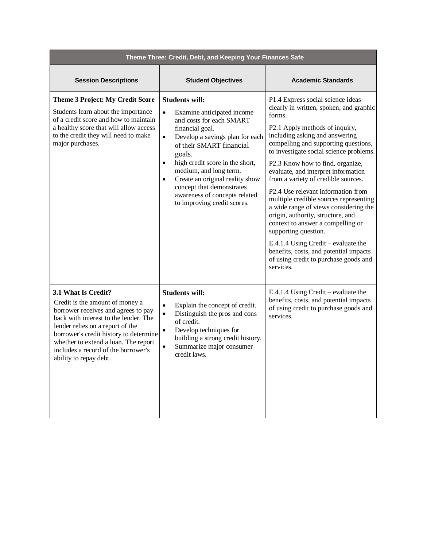| Theme Three: Credit, Debt, and Keeping Your Finances Safe                                                                                                                                                                                                                                                                     |                                                                                                                                                                                                                                                                                                                                                                                                                              |                                                                                                                                                                                                                                                                                                                                                                                                                                                                                                                                                                                                                                                                                                                                   |
|-------------------------------------------------------------------------------------------------------------------------------------------------------------------------------------------------------------------------------------------------------------------------------------------------------------------------------|------------------------------------------------------------------------------------------------------------------------------------------------------------------------------------------------------------------------------------------------------------------------------------------------------------------------------------------------------------------------------------------------------------------------------|-----------------------------------------------------------------------------------------------------------------------------------------------------------------------------------------------------------------------------------------------------------------------------------------------------------------------------------------------------------------------------------------------------------------------------------------------------------------------------------------------------------------------------------------------------------------------------------------------------------------------------------------------------------------------------------------------------------------------------------|
| <b>Session Descriptions</b>                                                                                                                                                                                                                                                                                                   | <b>Student Objectives</b>                                                                                                                                                                                                                                                                                                                                                                                                    | <b>Academic Standards</b>                                                                                                                                                                                                                                                                                                                                                                                                                                                                                                                                                                                                                                                                                                         |
| <b>Theme 3 Project: My Credit Score</b><br>Students learn about the importance<br>of a credit score and how to maintain<br>a healthy score that will allow access<br>to the credit they will need to make<br>major purchases.                                                                                                 | <b>Students will:</b><br>Examine anticipated income<br>$\bullet$<br>and costs for each SMART<br>financial goal.<br>Develop a savings plan for each<br>$\bullet$<br>of their SMART financial<br>goals.<br>high credit score in the short,<br>$\bullet$<br>medium, and long term.<br>Create an original reality show<br>$\bullet$<br>concept that demonstrates<br>awareness of concepts related<br>to improving credit scores. | P1.4 Express social science ideas<br>clearly in written, spoken, and graphic<br>forms.<br>P2.1 Apply methods of inquiry,<br>including asking and answering<br>compelling and supporting questions,<br>to investigate social science problems.<br>P2.3 Know how to find, organize,<br>evaluate, and interpret information<br>from a variety of credible sources.<br>P2.4 Use relevant information from<br>multiple credible sources representing<br>a wide range of views considering the<br>origin, authority, structure, and<br>context to answer a compelling or<br>supporting question.<br>E.4.1.4 Using Credit – evaluate the<br>benefits, costs, and potential impacts<br>of using credit to purchase goods and<br>services. |
| 3.1 What Is Credit?<br>Credit is the amount of money a<br>borrower receives and agrees to pay<br>back with interest to the lender. The<br>lender relies on a report of the<br>borrower's credit history to determine<br>whether to extend a loan. The report<br>includes a record of the borrower's<br>ability to repay debt. | <b>Students will:</b><br>Explain the concept of credit.<br>$\bullet$<br>Distinguish the pros and cons<br>$\bullet$<br>of credit.<br>Develop techniques for<br>$\bullet$<br>building a strong credit history.<br>Summarize major consumer<br>$\bullet$<br>credit laws.                                                                                                                                                        | E.4.1.4 Using Credit – evaluate the<br>benefits, costs, and potential impacts<br>of using credit to purchase goods and<br>services.                                                                                                                                                                                                                                                                                                                                                                                                                                                                                                                                                                                               |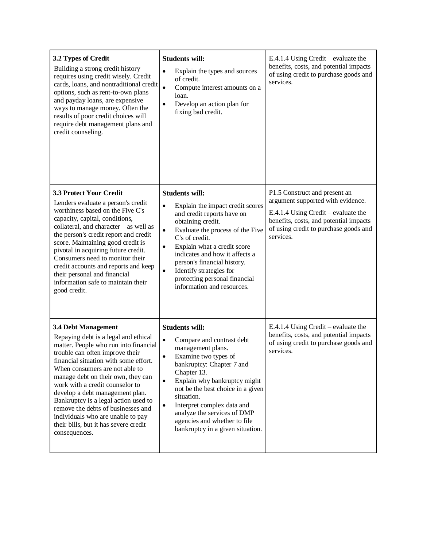| 3.2 Types of Credit<br>Building a strong credit history<br>requires using credit wisely. Credit<br>cards, loans, and nontraditional credit<br>options, such as rent-to-own plans<br>and payday loans, are expensive<br>ways to manage money. Often the<br>results of poor credit choices will<br>require debt management plans and<br>credit counseling.                                                                                                                                                    | <b>Students will:</b><br>Explain the types and sources<br>$\bullet$<br>of credit.<br>$\bullet$<br>Compute interest amounts on a<br>loan.<br>Develop an action plan for<br>$\bullet$<br>fixing bad credit.                                                                                                                                                                                                           | E.4.1.4 Using Credit – evaluate the<br>benefits, costs, and potential impacts<br>of using credit to purchase goods and<br>services.                                                                       |
|-------------------------------------------------------------------------------------------------------------------------------------------------------------------------------------------------------------------------------------------------------------------------------------------------------------------------------------------------------------------------------------------------------------------------------------------------------------------------------------------------------------|---------------------------------------------------------------------------------------------------------------------------------------------------------------------------------------------------------------------------------------------------------------------------------------------------------------------------------------------------------------------------------------------------------------------|-----------------------------------------------------------------------------------------------------------------------------------------------------------------------------------------------------------|
| <b>3.3 Protect Your Credit</b><br>Lenders evaluate a person's credit<br>worthiness based on the Five C's-<br>capacity, capital, conditions,<br>collateral, and character-as well as<br>the person's credit report and credit<br>score. Maintaining good credit is<br>pivotal in acquiring future credit.<br>Consumers need to monitor their<br>credit accounts and reports and keep<br>their personal and financial<br>information safe to maintain their<br>good credit.                                   | <b>Students will:</b><br>$\bullet$<br>Explain the impact credit scores<br>and credit reports have on<br>obtaining credit.<br>Evaluate the process of the Five<br>$\bullet$<br>C's of credit.<br>Explain what a credit score<br>$\bullet$<br>indicates and how it affects a<br>person's financial history.<br>Identify strategies for<br>$\bullet$<br>protecting personal financial<br>information and resources.    | P1.5 Construct and present an<br>argument supported with evidence.<br>E.4.1.4 Using Credit – evaluate the<br>benefits, costs, and potential impacts<br>of using credit to purchase goods and<br>services. |
| 3.4 Debt Management<br>Repaying debt is a legal and ethical<br>matter. People who run into financial<br>trouble can often improve their<br>financial situation with some effort.<br>When consumers are not able to<br>manage debt on their own, they can<br>work with a credit counselor to<br>develop a debt management plan.<br>Bankruptcy is a legal action used to<br>remove the debts of businesses and<br>individuals who are unable to pay<br>their bills, but it has severe credit<br>consequences. | <b>Students will:</b><br>$\bullet$<br>Compare and contrast debt<br>management plans.<br>Examine two types of<br>$\bullet$<br>bankruptcy: Chapter 7 and<br>Chapter 13.<br>Explain why bankruptcy might<br>$\bullet$<br>not be the best choice in a given<br>situation.<br>Interpret complex data and<br>$\bullet$<br>analyze the services of DMP<br>agencies and whether to file<br>bankruptcy in a given situation. | E.4.1.4 Using Credit – evaluate the<br>benefits, costs, and potential impacts<br>of using credit to purchase goods and<br>services.                                                                       |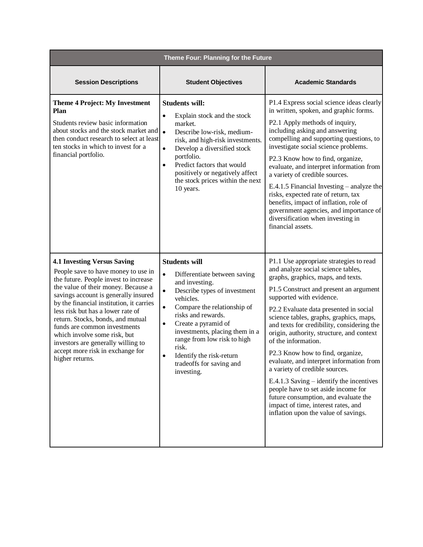| Theme Four: Planning for the Future                                                                                                                                                                                                                                                                                                                                                                                                                                                  |                                                                                                                                                                                                                                                                                                                                                                                                          |                                                                                                                                                                                                                                                                                                                                                                                                                                                                                                                                                                                                                                                                                                                                |
|--------------------------------------------------------------------------------------------------------------------------------------------------------------------------------------------------------------------------------------------------------------------------------------------------------------------------------------------------------------------------------------------------------------------------------------------------------------------------------------|----------------------------------------------------------------------------------------------------------------------------------------------------------------------------------------------------------------------------------------------------------------------------------------------------------------------------------------------------------------------------------------------------------|--------------------------------------------------------------------------------------------------------------------------------------------------------------------------------------------------------------------------------------------------------------------------------------------------------------------------------------------------------------------------------------------------------------------------------------------------------------------------------------------------------------------------------------------------------------------------------------------------------------------------------------------------------------------------------------------------------------------------------|
| <b>Session Descriptions</b>                                                                                                                                                                                                                                                                                                                                                                                                                                                          | <b>Student Objectives</b>                                                                                                                                                                                                                                                                                                                                                                                | <b>Academic Standards</b>                                                                                                                                                                                                                                                                                                                                                                                                                                                                                                                                                                                                                                                                                                      |
| <b>Theme 4 Project: My Investment</b><br>Plan<br>Students review basic information<br>about stocks and the stock market and<br>then conduct research to select at least<br>ten stocks in which to invest for a<br>financial portfolio.                                                                                                                                                                                                                                               | <b>Students will:</b><br>Explain stock and the stock<br>$\bullet$<br>market.<br>$\bullet$<br>Describe low-risk, medium-<br>risk, and high-risk investments.<br>Develop a diversified stock<br>$\bullet$<br>portfolio.<br>Predict factors that would<br>$\bullet$<br>positively or negatively affect<br>the stock prices within the next<br>10 years.                                                     | P1.4 Express social science ideas clearly<br>in written, spoken, and graphic forms.<br>P2.1 Apply methods of inquiry,<br>including asking and answering<br>compelling and supporting questions, to<br>investigate social science problems.<br>P2.3 Know how to find, organize,<br>evaluate, and interpret information from<br>a variety of credible sources.<br>E.4.1.5 Financial Investing $-$ analyze the<br>risks, expected rate of return, tax<br>benefits, impact of inflation, role of<br>government agencies, and importance of<br>diversification when investing in<br>financial assets.                                                                                                                               |
| <b>4.1 Investing Versus Saving</b><br>People save to have money to use in<br>the future. People invest to increase<br>the value of their money. Because a<br>savings account is generally insured<br>by the financial institution, it carries<br>less risk but has a lower rate of<br>return. Stocks, bonds, and mutual<br>funds are common investments<br>which involve some risk, but<br>investors are generally willing to<br>accept more risk in exchange for<br>higher returns. | <b>Students will</b><br>$\bullet$<br>Differentiate between saving<br>and investing.<br>Describe types of investment<br>$\bullet$<br>vehicles.<br>Compare the relationship of<br>$\bullet$<br>risks and rewards.<br>Create a pyramid of<br>$\bullet$<br>investments, placing them in a<br>range from low risk to high<br>risk.<br>Identify the risk-return<br>٠<br>tradeoffs for saving and<br>investing. | P1.1 Use appropriate strategies to read<br>and analyze social science tables,<br>graphs, graphics, maps, and texts.<br>P1.5 Construct and present an argument<br>supported with evidence.<br>P2.2 Evaluate data presented in social<br>science tables, graphs, graphics, maps,<br>and texts for credibility, considering the<br>origin, authority, structure, and context<br>of the information.<br>P2.3 Know how to find, organize,<br>evaluate, and interpret information from<br>a variety of credible sources.<br>E.4.1.3 Saving $-$ identify the incentives<br>people have to set aside income for<br>future consumption, and evaluate the<br>impact of time, interest rates, and<br>inflation upon the value of savings. |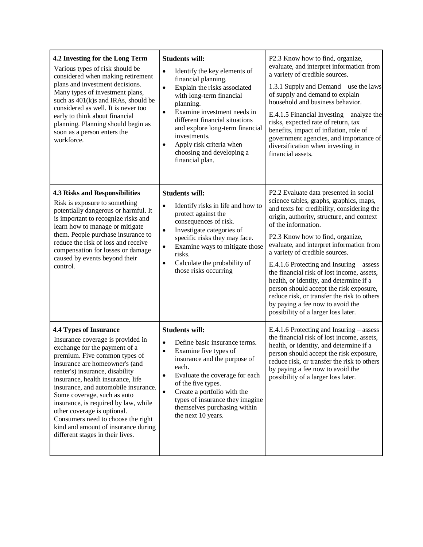| 4.2 Investing for the Long Term<br>Various types of risk should be<br>considered when making retirement<br>plans and investment decisions.<br>Many types of investment plans,<br>such as 401(k)s and IRAs, should be<br>considered as well. It is never too<br>early to think about financial<br>planning. Planning should begin as<br>soon as a person enters the<br>workforce.                                                                                                                              | <b>Students will:</b><br>Identify the key elements of<br>$\bullet$<br>financial planning.<br>Explain the risks associated<br>$\bullet$<br>with long-term financial<br>planning.<br>Examine investment needs in<br>$\bullet$<br>different financial situations<br>and explore long-term financial<br>investments.<br>Apply risk criteria when<br>$\bullet$<br>choosing and developing a<br>financial plan. | P2.3 Know how to find, organize,<br>evaluate, and interpret information from<br>a variety of credible sources.<br>1.3.1 Supply and Demand – use the laws<br>of supply and demand to explain<br>household and business behavior.<br>E.4.1.5 Financial Investing $-$ analyze the<br>risks, expected rate of return, tax<br>benefits, impact of inflation, role of<br>government agencies, and importance of<br>diversification when investing in<br>financial assets.                                                                                                                                                             |
|---------------------------------------------------------------------------------------------------------------------------------------------------------------------------------------------------------------------------------------------------------------------------------------------------------------------------------------------------------------------------------------------------------------------------------------------------------------------------------------------------------------|-----------------------------------------------------------------------------------------------------------------------------------------------------------------------------------------------------------------------------------------------------------------------------------------------------------------------------------------------------------------------------------------------------------|---------------------------------------------------------------------------------------------------------------------------------------------------------------------------------------------------------------------------------------------------------------------------------------------------------------------------------------------------------------------------------------------------------------------------------------------------------------------------------------------------------------------------------------------------------------------------------------------------------------------------------|
| <b>4.3 Risks and Responsibilities</b><br>Risk is exposure to something<br>potentially dangerous or harmful. It<br>is important to recognize risks and<br>learn how to manage or mitigate<br>them. People purchase insurance to<br>reduce the risk of loss and receive<br>compensation for losses or damage<br>caused by events beyond their<br>control.                                                                                                                                                       | <b>Students will:</b><br>Identify risks in life and how to<br>$\bullet$<br>protect against the<br>consequences of risk.<br>Investigate categories of<br>$\bullet$<br>specific risks they may face.<br>Examine ways to mitigate those<br>$\bullet$<br>risks.<br>Calculate the probability of<br>$\bullet$<br>those risks occurring                                                                         | P2.2 Evaluate data presented in social<br>science tables, graphs, graphics, maps,<br>and texts for credibility, considering the<br>origin, authority, structure, and context<br>of the information.<br>P2.3 Know how to find, organize,<br>evaluate, and interpret information from<br>a variety of credible sources.<br>E.4.1.6 Protecting and Insuring – assess<br>the financial risk of lost income, assets,<br>health, or identity, and determine if a<br>person should accept the risk exposure,<br>reduce risk, or transfer the risk to others<br>by paying a fee now to avoid the<br>possibility of a larger loss later. |
| <b>4.4 Types of Insurance</b><br>Insurance coverage is provided in<br>exchange for the payment of a<br>premium. Five common types of<br>insurance are homeowner's (and<br>renter's) insurance, disability<br>insurance, health insurance, life<br>insurance, and automobile insurance.<br>Some coverage, such as auto<br>insurance, is required by law, while<br>other coverage is optional.<br>Consumers need to choose the right<br>kind and amount of insurance during<br>different stages in their lives. | <b>Students will:</b><br>Define basic insurance terms.<br>$\bullet$<br>Examine five types of<br>$\bullet$<br>insurance and the purpose of<br>each.<br>Evaluate the coverage for each<br>$\bullet$<br>of the five types.<br>Create a portfolio with the<br>$\bullet$<br>types of insurance they imagine<br>themselves purchasing within<br>the next 10 years.                                              | $E.4.1.6$ Protecting and Insuring – assess<br>the financial risk of lost income, assets,<br>health, or identity, and determine if a<br>person should accept the risk exposure,<br>reduce risk, or transfer the risk to others<br>by paying a fee now to avoid the<br>possibility of a larger loss later.                                                                                                                                                                                                                                                                                                                        |